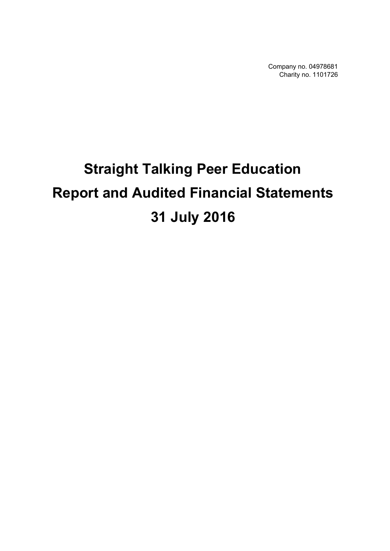Company no. 04978681 Charity no. 1101726

# **Straight Talking Peer Education Report and Audited Financial Statements 31 July 2016**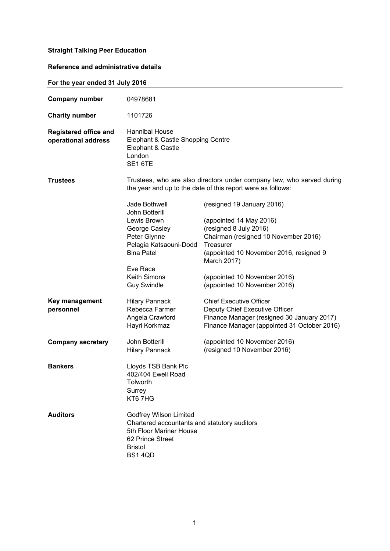# **Reference and administrative details**

# **For the year ended 31 July 2016**

| <b>Company number</b>                               | 04978681                                                                                                                                                 |                                                                                                                                      |
|-----------------------------------------------------|----------------------------------------------------------------------------------------------------------------------------------------------------------|--------------------------------------------------------------------------------------------------------------------------------------|
| <b>Charity number</b>                               | 1101726                                                                                                                                                  |                                                                                                                                      |
| <b>Registered office and</b><br>operational address | Hannibal House<br>Elephant & Castle Shopping Centre<br>Elephant & Castle<br>London<br>SE1 6TE                                                            |                                                                                                                                      |
| Trustees                                            |                                                                                                                                                          | Trustees, who are also directors under company law, who served during<br>the year and up to the date of this report were as follows: |
|                                                     | Jade Bothwell<br>John Botterill                                                                                                                          | (resigned 19 January 2016)                                                                                                           |
|                                                     | Lewis Brown                                                                                                                                              | (appointed 14 May 2016)                                                                                                              |
|                                                     | George Casley<br>Peter Glynne                                                                                                                            | (resigned 8 July 2016)                                                                                                               |
|                                                     | Pelagia Katsaouni-Dodd                                                                                                                                   | Chairman (resigned 10 November 2016)<br>Treasurer                                                                                    |
|                                                     | <b>Bina Patel</b>                                                                                                                                        | (appointed 10 November 2016, resigned 9<br>March 2017)                                                                               |
|                                                     | Eve Race                                                                                                                                                 |                                                                                                                                      |
|                                                     | <b>Keith Simons</b><br><b>Guy Swindle</b>                                                                                                                | (appointed 10 November 2016)<br>(appointed 10 November 2016)                                                                         |
| Key management                                      | <b>Hilary Pannack</b>                                                                                                                                    | <b>Chief Executive Officer</b>                                                                                                       |
| personnel                                           | Rebecca Farmer                                                                                                                                           | Deputy Chief Executive Officer                                                                                                       |
|                                                     | Angela Crawford<br>Hayri Korkmaz                                                                                                                         | Finance Manager (resigned 30 January 2017)<br>Finance Manager (appointed 31 October 2016)                                            |
| <b>Company secretary</b>                            | John Botterill                                                                                                                                           | (appointed 10 November 2016)                                                                                                         |
|                                                     | <b>Hilary Pannack</b>                                                                                                                                    | (resigned 10 November 2016)                                                                                                          |
| <b>Bankers</b>                                      | Lloyds TSB Bank Plc<br>402/404 Ewell Road<br>Tolworth<br>Surrey<br>KT6 7HG                                                                               |                                                                                                                                      |
| <b>Auditors</b>                                     | <b>Godfrey Wilson Limited</b><br>Chartered accountants and statutory auditors<br>5th Floor Mariner House<br>62 Prince Street<br><b>Bristol</b><br>BS14QD |                                                                                                                                      |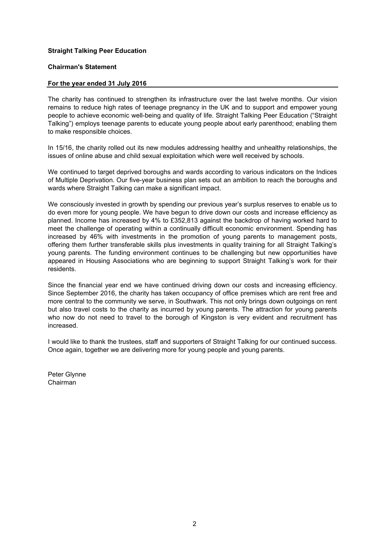#### **Chairman's Statement**

#### **For the year ended 31 July 2016**

The charity has continued to strengthen its infrastructure over the last twelve months. Our vision remains to reduce high rates of teenage pregnancy in the UK and to support and empower young people to achieve economic well-being and quality of life. Straight Talking Peer Education ("Straight Talking") employs teenage parents to educate young people about early parenthood; enabling them to make responsible choices.

In 15/16, the charity rolled out its new modules addressing healthy and unhealthy relationships, the issues of online abuse and child sexual exploitation which were well received by schools.

We continued to target deprived boroughs and wards according to various indicators on the Indices of Multiple Deprivation. Our five-year business plan sets out an ambition to reach the boroughs and wards where Straight Talking can make a significant impact.

We consciously invested in growth by spending our previous year's surplus reserves to enable us to do even more for young people. We have begun to drive down our costs and increase efficiency as planned. Income has increased by 4% to £352,813 against the backdrop of having worked hard to meet the challenge of operating within a continually difficult economic environment. Spending has increased by 46% with investments in the promotion of young parents to management posts, offering them further transferable skills plus investments in quality training for all Straight Talking's young parents. The funding environment continues to be challenging but new opportunities have appeared in Housing Associations who are beginning to support Straight Talking's work for their residents.

Since the financial year end we have continued driving down our costs and increasing efficiency. Since September 2016, the charity has taken occupancy of office premises which are rent free and more central to the community we serve, in Southwark. This not only brings down outgoings on rent but also travel costs to the charity as incurred by young parents. The attraction for young parents who now do not need to travel to the borough of Kingston is very evident and recruitment has increased.

I would like to thank the trustees, staff and supporters of Straight Talking for our continued success. Once again, together we are delivering more for young people and young parents.

Peter Glynne Chairman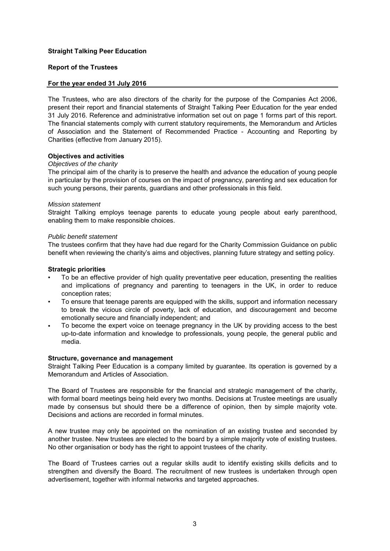#### **Report of the Trustees**

#### **For the year ended 31 July 2016**

The Trustees, who are also directors of the charity for the purpose of the Companies Act 2006, present their report and financial statements of Straight Talking Peer Education for the year ended 31 July 2016. Reference and administrative information set out on page 1 forms part of this report. The financial statements comply with current statutory requirements, the Memorandum and Articles of Association and the Statement of Recommended Practice - Accounting and Reporting by Charities (effective from January 2015).

### **Objectives and activities**

#### *Objectives of the charity*

The principal aim of the charity is to preserve the health and advance the education of young people in particular by the provision of courses on the impact of pregnancy, parenting and sex education for such young persons, their parents, guardians and other professionals in this field.

### *Mission statement*

Straight Talking employs teenage parents to educate young people about early parenthood, enabling them to make responsible choices.

#### *Public benefit statement*

The trustees confirm that they have had due regard for the Charity Commission Guidance on public benefit when reviewing the charity's aims and objectives, planning future strategy and setting policy.

### **Strategic priorities**

- To be an effective provider of high quality preventative peer education, presenting the realities and implications of pregnancy and parenting to teenagers in the UK, in order to reduce conception rates;
- To ensure that teenage parents are equipped with the skills, support and information necessary to break the vicious circle of poverty, lack of education, and discouragement and become emotionally secure and financially independent; and
- To become the expert voice on teenage pregnancy in the UK by providing access to the best up-to-date information and knowledge to professionals, young people, the general public and media.

#### **Structure, governance and management**

Straight Talking Peer Education is a company limited by guarantee. Its operation is governed by a Memorandum and Articles of Association.

The Board of Trustees are responsible for the financial and strategic management of the charity, with formal board meetings being held every two months. Decisions at Trustee meetings are usually made by consensus but should there be a difference of opinion, then by simple majority vote. Decisions and actions are recorded in formal minutes.

A new trustee may only be appointed on the nomination of an existing trustee and seconded by another trustee. New trustees are elected to the board by a simple majority vote of existing trustees. No other organisation or body has the right to appoint trustees of the charity.

The Board of Trustees carries out a regular skills audit to identify existing skills deficits and to strengthen and diversify the Board. The recruitment of new trustees is undertaken through open advertisement, together with informal networks and targeted approaches.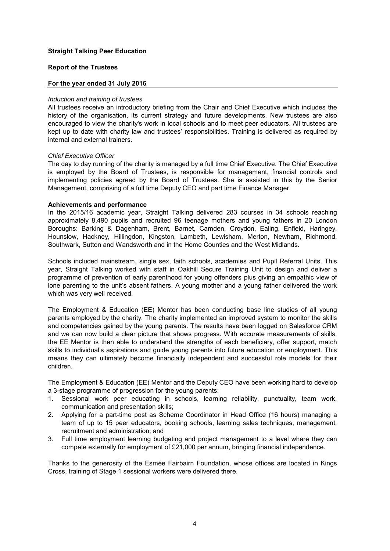#### **Report of the Trustees**

#### **For the year ended 31 July 2016**

#### *Induction and training of trustees*

All trustees receive an introductory briefing from the Chair and Chief Executive which includes the history of the organisation, its current strategy and future developments. New trustees are also encouraged to view the charity's work in local schools and to meet peer educators. All trustees are kept up to date with charity law and trustees' responsibilities. Training is delivered as required by internal and external trainers.

#### *Chief Executive Officer*

The day to day running of the charity is managed by a full time Chief Executive. The Chief Executive is employed by the Board of Trustees, is responsible for management, financial controls and implementing policies agreed by the Board of Trustees. She is assisted in this by the Senior Management, comprising of a full time Deputy CEO and part time Finance Manager.

#### **Achievements and performance**

In the 2015/16 academic year, Straight Talking delivered 283 courses in 34 schools reaching approximately 8,490 pupils and recruited 96 teenage mothers and young fathers in 20 London Boroughs: Barking & Dagenham, Brent, Barnet, Camden, Croydon, Ealing, Enfield, Haringey, Hounslow, Hackney, Hillingdon, Kingston, Lambeth, Lewisham, Merton, Newham, Richmond, Southwark, Sutton and Wandsworth and in the Home Counties and the West Midlands.

Schools included mainstream, single sex, faith schools, academies and Pupil Referral Units. This year, Straight Talking worked with staff in Oakhill Secure Training Unit to design and deliver a programme of prevention of early parenthood for young offenders plus giving an empathic view of lone parenting to the unit's absent fathers. A young mother and a young father delivered the work which was very well received.

The Employment & Education (EE) Mentor has been conducting base line studies of all young parents employed by the charity. The charity implemented an improved system to monitor the skills and competencies gained by the young parents. The results have been logged on Salesforce CRM and we can now build a clear picture that shows progress. With accurate measurements of skills, the EE Mentor is then able to understand the strengths of each beneficiary, offer support, match skills to individual's aspirations and guide young parents into future education or employment. This means they can ultimately become financially independent and successful role models for their children.

The Employment & Education (EE) Mentor and the Deputy CEO have been working hard to develop a 3-stage programme of progression for the young parents:

- 1. Sessional work peer educating in schools, learning reliability, punctuality, team work, communication and presentation skills;
- 2. Applying for a part-time post as Scheme Coordinator in Head Office (16 hours) managing a team of up to 15 peer educators, booking schools, learning sales techniques, management, recruitment and administration; and
- 3. Full time employment learning budgeting and project management to a level where they can compete externally for employment of £21,000 per annum, bringing financial independence.

Thanks to the generosity of the Esmée Fairbairn Foundation, whose offices are located in Kings Cross, training of Stage 1 sessional workers were delivered there.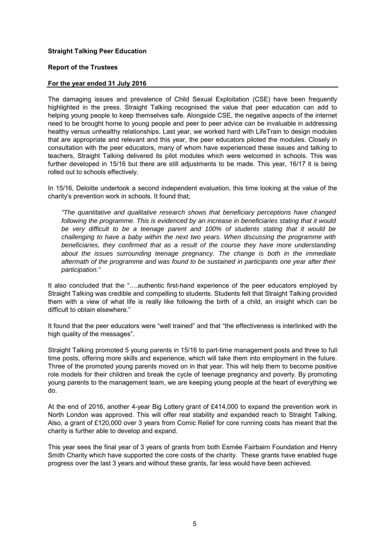#### **Report of the Trustees**

### **For the year ended 31 July 2016**

The damaging issues and prevalence of Child Sexual Exploitation (CSE) have been frequently highlighted in the press. Straight Talking recognised the value that peer education can add to helping young people to keep themselves safe. Alongside CSE, the negative aspects of the internet need to be brought home to young people and peer to peer advice can be invaluable in addressing healthy versus unhealthy relationships. Last year, we worked hard with LifeTrain to design modules that are appropriate and relevant and this year, the peer educators piloted the modules. Closely in consultation with the peer educators, many of whom have experienced these issues and talking to teachers, Straight Talking delivered its pilot modules which were welcomed in schools. This was further developed in 15/16 but there are still adjustments to be made. This year, 16/17 it is being rolled out to schools effectively.

In 15/16, Deloitte undertook a second independent evaluation, this time looking at the value of the charity's prevention work in schools. It found that;

*"The quantitative and qualitative research shows that beneficiary perceptions have changed following the programme. This is evidenced by an increase in beneficiaries stating that it would be very difficult to be a teenage parent and 100% of students stating that it would be challenging to have a baby within the next two years. When discussing the programme with beneficiaries, they confirmed that as a result of the course they have more understanding about the issues surrounding teenage pregnancy. The change is both in the immediate aftermath of the programme and was found to be sustained in participants one year after their participation."*

It also concluded that the "….authentic first-hand experience of the peer educators employed by Straight Talking was credible and compelling to students. Students felt that Straight Talking provided them with a view of what life is really like following the birth of a child, an insight which can be difficult to obtain elsewhere."

It found that the peer educators were "well trained" and that "the effectiveness is interlinked with the high quality of the messages".

Straight Talking promoted 5 young parents in 15/16 to part-time management posts and three to fulltime posts, offering more skills and experience, which will take them into employment in the future. Three of the promoted young parents moved on in that year. This will help them to become positive role models for their children and break the cycle of teenage pregnancy and poverty. By promoting young parents to the management team, we are keeping young people at the heart of everything we do.

At the end of 2016, another 4-year Big Lottery grant of £414,000 to expand the prevention work in North London was approved. This will offer real stability and expanded reach to Straight Talking. Also, a grant of £120,000 over 3 years from Comic Relief for core running costs has meant that the charity is further able to develop and expand.

This year sees the final year of 3 years of grants from both Esmée Fairbairn Foundation and Henry Smith Charity which have supported the core costs of the charity. These grants have enabled huge progress over the last 3 years and without these grants, far less would have been achieved.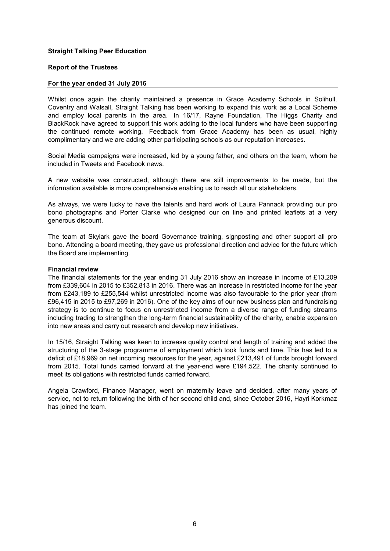# **Report of the Trustees**

#### **For the year ended 31 July 2016**

Whilst once again the charity maintained a presence in Grace Academy Schools in Solihull, Coventry and Walsall, Straight Talking has been working to expand this work as a Local Scheme and employ local parents in the area. In 16/17, Rayne Foundation, The Higgs Charity and BlackRock have agreed to support this work adding to the local funders who have been supporting the continued remote working. Feedback from Grace Academy has been as usual, highly complimentary and we are adding other participating schools as our reputation increases.

Social Media campaigns were increased, led by a young father, and others on the team, whom he included in Tweets and Facebook news.

A new website was constructed, although there are still improvements to be made, but the information available is more comprehensive enabling us to reach all our stakeholders.

As always, we were lucky to have the talents and hard work of Laura Pannack providing our pro bono photographs and Porter Clarke who designed our on line and printed leaflets at a very generous discount.

The team at Skylark gave the board Governance training, signposting and other support all pro bono. Attending a board meeting, they gave us professional direction and advice for the future which the Board are implementing.

#### **Financial review**

The financial statements for the year ending 31 July 2016 show an increase in income of £13,209 from £339,604 in 2015 to £352,813 in 2016. There was an increase in restricted income for the year from £243,189 to £255,544 whilst unrestricted income was also favourable to the prior year (from £96,415 in 2015 to £97,269 in 2016). One of the key aims of our new business plan and fundraising strategy is to continue to focus on unrestricted income from a diverse range of funding streams including trading to strengthen the long-term financial sustainability of the charity, enable expansion into new areas and carry out research and develop new initiatives.

In 15/16, Straight Talking was keen to increase quality control and length of training and added the structuring of the 3-stage programme of employment which took funds and time. This has led to a deficit of £18,969 on net incoming resources for the year, against £213,491 of funds brought forward from 2015. Total funds carried forward at the year-end were £194,522. The charity continued to meet its obligations with restricted funds carried forward.

Angela Crawford, Finance Manager, went on maternity leave and decided, after many years of service, not to return following the birth of her second child and, since October 2016, Hayri Korkmaz has joined the team.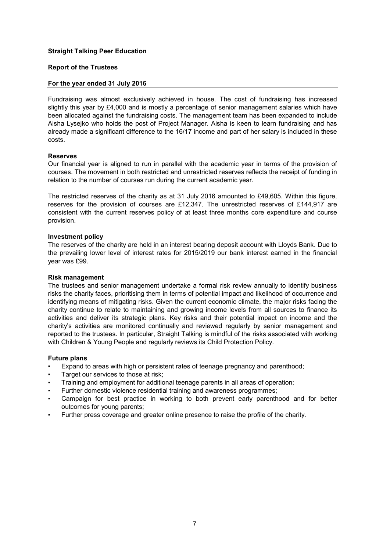#### **Report of the Trustees**

### **For the year ended 31 July 2016**

Fundraising was almost exclusively achieved in house. The cost of fundraising has increased slightly this year by £4,000 and is mostly a percentage of senior management salaries which have been allocated against the fundraising costs. The management team has been expanded to include Aisha Lysejko who holds the post of Project Manager. Aisha is keen to learn fundraising and has already made a significant difference to the 16/17 income and part of her salary is included in these costs.

### **Reserves**

Our financial year is aligned to run in parallel with the academic year in terms of the provision of courses. The movement in both restricted and unrestricted reserves reflects the receipt of funding in relation to the number of courses run during the current academic year.

The restricted reserves of the charity as at 31 July 2016 amounted to £49,605. Within this figure, reserves for the provision of courses are £12,347. The unrestricted reserves of £144,917 are consistent with the current reserves policy of at least three months core expenditure and course provision.

#### **Investment policy**

The reserves of the charity are held in an interest bearing deposit account with Lloyds Bank. Due to the prevailing lower level of interest rates for 2015/2019 our bank interest earned in the financial year was £99.

#### **Risk management**

The trustees and senior management undertake a formal risk review annually to identify business risks the charity faces, prioritising them in terms of potential impact and likelihood of occurrence and identifying means of mitigating risks. Given the current economic climate, the major risks facing the charity continue to relate to maintaining and growing income levels from all sources to finance its activities and deliver its strategic plans. Key risks and their potential impact on income and the charity's activities are monitored continually and reviewed regularly by senior management and reported to the trustees. In particular, Straight Talking is mindful of the risks associated with working with Children & Young People and regularly reviews its Child Protection Policy.

#### **Future plans**

- Expand to areas with high or persistent rates of teenage pregnancy and parenthood;
- Target our services to those at risk;
- Training and employment for additional teenage parents in all areas of operation;
- Further domestic violence residential training and awareness programmes;
- Campaign for best practice in working to both prevent early parenthood and for better outcomes for young parents;
- Further press coverage and greater online presence to raise the profile of the charity.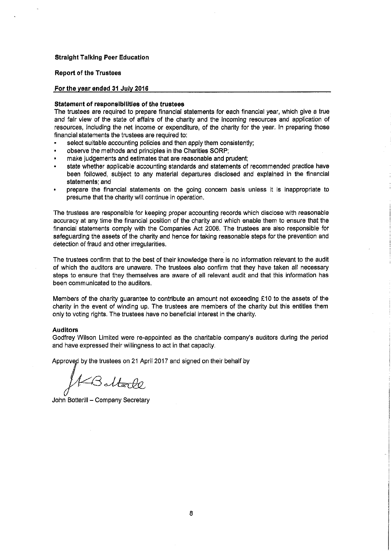#### **Report of the Trustees**

#### For the year ended 31 July 2016

#### Statement of responsibilities of the trustees

The trustees are required to prepare financial statements for each financial year, which give a true and fair view of the state of affairs of the charity and the incoming resources and application of resources, including the net income or expenditure, of the charity for the year. In preparing those financial statements the trustees are required to:

- select suitable accounting policies and then apply them consistently;
- observe the methods and principles in the Charities SORP;
- make judgements and estimates that are reasonable and prudent;
- state whether applicable accounting standards and statements of recommended practice have been followed, subject to any material departures disclosed and explained in the financial statements: and
- prepare the financial statements on the going concern basis unless it is inappropriate to presume that the charity will continue in operation.

The trustees are responsible for keeping proper accounting records which disclose with reasonable accuracy at any time the financial position of the charity and which enable them to ensure that the financial statements comply with the Companies Act 2006. The trustees are also responsible for safeguarding the assets of the charity and hence for taking reasonable steps for the prevention and detection of fraud and other irregularities.

The trustees confirm that to the best of their knowledge there is no information relevant to the audit of which the auditors are unaware. The trustees also confirm that they have taken all necessary steps to ensure that they themselves are aware of all relevant audit and that this information has been communicated to the auditors.

Members of the charity guarantee to contribute an amount not exceeding £10 to the assets of the charity in the event of winding up. The trustees are members of the charity but this entitles them only to voting rights. The trustees have no beneficial interest in the charity.

#### **Auditors**

Godfrey Wilson Limited were re-appointed as the charitable company's auditors during the period and have expressed their willingness to act in that capacity.

Approved by the trustees on 21 April 2017 and signed on their behalf by

Bottarle

John Botterill - Company Secretary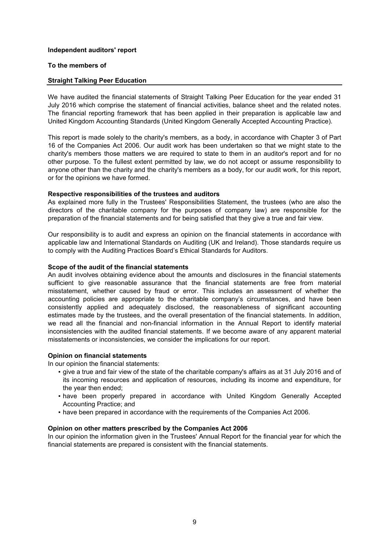#### **Independent auditors' report**

## **To the members of**

# **Straight Talking Peer Education**

We have audited the financial statements of Straight Talking Peer Education for the year ended 31 July 2016 which comprise the statement of financial activities, balance sheet and the related notes. The financial reporting framework that has been applied in their preparation is applicable law and United Kingdom Accounting Standards (United Kingdom Generally Accepted Accounting Practice).

This report is made solely to the charity's members, as a body, in accordance with Chapter 3 of Part 16 of the Companies Act 2006. Our audit work has been undertaken so that we might state to the charity's members those matters we are required to state to them in an auditor's report and for no other purpose. To the fullest extent permitted by law, we do not accept or assume responsibility to anyone other than the charity and the charity's members as a body, for our audit work, for this report, or for the opinions we have formed.

### **Respective responsibilities of the trustees and auditors**

As explained more fully in the Trustees' Responsibilities Statement, the trustees (who are also the directors of the charitable company for the purposes of company law) are responsible for the preparation of the financial statements and for being satisfied that they give a true and fair view.

Our responsibility is to audit and express an opinion on the financial statements in accordance with applicable law and International Standards on Auditing (UK and Ireland). Those standards require us to comply with the Auditing Practices Board's Ethical Standards for Auditors.

### **Scope of the audit of the financial statements**

An audit involves obtaining evidence about the amounts and disclosures in the financial statements sufficient to give reasonable assurance that the financial statements are free from material misstatement, whether caused by fraud or error. This includes an assessment of whether the accounting policies are appropriate to the charitable company's circumstances, and have been consistently applied and adequately disclosed, the reasonableness of significant accounting estimates made by the trustees, and the overall presentation of the financial statements. In addition, we read all the financial and non-financial information in the Annual Report to identify material inconsistencies with the audited financial statements. If we become aware of any apparent material misstatements or inconsistencies, we consider the implications for our report.

# **Opinion on financial statements**

In our opinion the financial statements:

- give a true and fair view of the state of the charitable company's affairs as at 31 July 2016 and of its incoming resources and application of resources, including its income and expenditure, for the year then ended;
- **•** have been properly prepared in accordance with United Kingdom Generally Accepted Accounting Practice; and
- **•** have been prepared in accordance with the requirements of the Companies Act 2006.

#### **Opinion on other matters prescribed by the Companies Act 2006**

In our opinion the information given in the Trustees' Annual Report for the financial year for which the financial statements are prepared is consistent with the financial statements.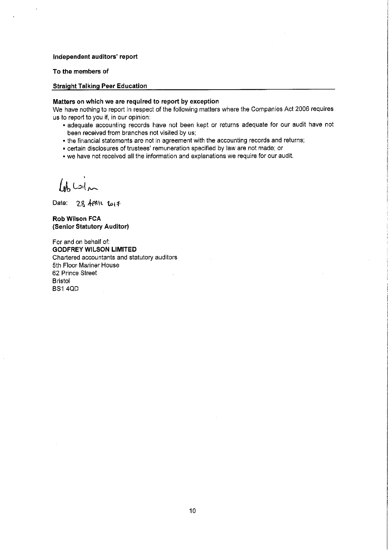#### Independent auditors' report

To the members of

#### **Straight Talking Peer Education**

#### Matters on which we are required to report by exception

We have nothing to report in respect of the following matters where the Companies Act 2006 requires us to report to you if, in our opinion:

- adequate accounting records have not been kept or returns adequate for our audit have not been received from branches not visited by us;
- the financial statements are not in agreement with the accounting records and returns;
- certain disclosures of trustees' remuneration specified by law are not made; or
- we have not received all the information and explanations we require for our audit.

 $\omega$ 

Date: 28 APAIL  $\omega_1$ 7

**Rob Wilson FCA** (Senior Statutory Auditor)

For and on behalf of: **GODFREY WILSON LIMITED** Chartered accountants and statutory auditors 5th Floor Mariner House 62 Prince Street **Bristol BS1 4QD**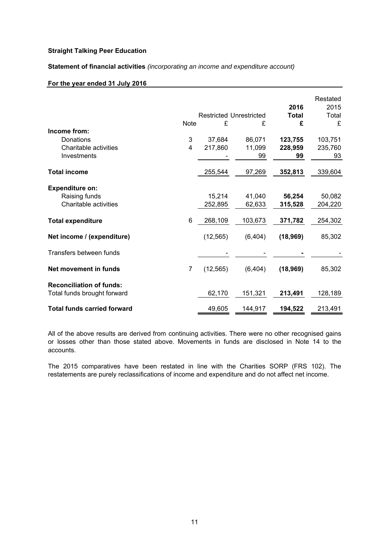**Statement of financial activities** *(incorporating an income and expenditure account)*

### **For the year ended 31 July 2016**

|                                                                  |                |                   | <b>Restricted Unrestricted</b> | 2016<br><b>Total</b> | Restated<br>2015<br>Total |
|------------------------------------------------------------------|----------------|-------------------|--------------------------------|----------------------|---------------------------|
| Income from:                                                     | <b>Note</b>    | £                 | £                              | £                    | £                         |
| Donations<br>Charitable activities                               | 3<br>4         | 37,684<br>217,860 | 86,071<br>11,099               | 123,755<br>228,959   | 103,751<br>235,760        |
| Investments                                                      |                |                   | 99                             | 99                   | 93                        |
| <b>Total income</b>                                              |                | 255,544           | 97,269                         | 352,813              | 339,604                   |
| <b>Expenditure on:</b><br>Raising funds<br>Charitable activities |                | 15,214<br>252,895 | 41,040<br>62,633               | 56,254<br>315,528    | 50,082<br>204,220         |
| <b>Total expenditure</b>                                         | 6              | 268,109           | 103,673                        | 371,782              | 254,302                   |
| Net income / (expenditure)                                       |                | (12, 565)         | (6, 404)                       | (18, 969)            | 85,302                    |
| Transfers between funds                                          |                |                   |                                |                      |                           |
| Net movement in funds                                            | $\overline{7}$ | (12, 565)         | (6, 404)                       | (18, 969)            | 85,302                    |
| <b>Reconciliation of funds:</b><br>Total funds brought forward   |                | 62,170            | 151,321                        | 213,491              | 128,189                   |
| <b>Total funds carried forward</b>                               |                | 49,605            | 144,917                        | 194,522              | 213,491                   |

All of the above results are derived from continuing activities. There were no other recognised gains or losses other than those stated above. Movements in funds are disclosed in Note 14 to the accounts.

The 2015 comparatives have been restated in line with the Charities SORP (FRS 102). The restatements are purely reclassifications of income and expenditure and do not affect net income.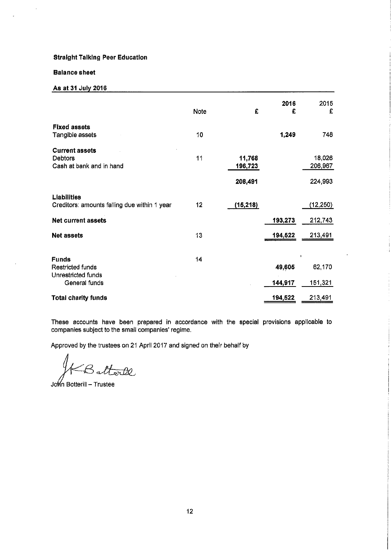#### **Balance sheet**

 $\ddot{\phantom{a}}$ 

## As at 31 July 2016

|                                                                         | Note | £                            | 2016<br>£         | 2015<br>£                    |
|-------------------------------------------------------------------------|------|------------------------------|-------------------|------------------------------|
| <b>Fixed assets</b><br>Tangible assets                                  | 10   |                              | 1,249             | 748                          |
| <b>Current assets</b><br>Debtors<br>Cash at bank and in hand            | 11   | 11,768<br>196,723<br>208,491 |                   | 18,026<br>206,967<br>224,993 |
| <b>Liabilities</b><br>Creditors: amounts falling due within 1 year      | 12   | (15, 218)                    |                   | (12, 250)                    |
| <b>Net current assets</b>                                               |      |                              | 193,273           | 212,743                      |
| <b>Net assets</b>                                                       | 13   |                              | 194,522           | 213,491                      |
| <b>Funds</b><br>Restricted funds<br>Unrestricted funds<br>General funds | 14   |                              | 49,605<br>144,917 | 62,170<br>151,321            |
| <b>Total charity funds</b>                                              |      |                              | 194,522           | 213,491                      |

These accounts have been prepared in accordance with the special provisions applicable to companies subject to the small companies' regime.

Approved by the trustees on 21 April 2017 and signed on their behalf by

torde Σа.

John Botterill - Trustee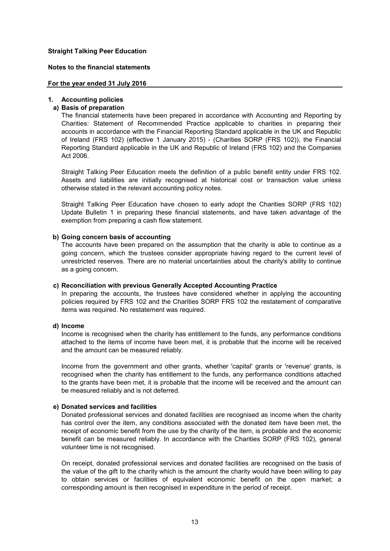#### **Notes to the financial statements**

#### **For the year ended 31 July 2016**

#### **1. Accounting policies**

# **a) Basis of preparation**

The financial statements have been prepared in accordance with Accounting and Reporting by Charities: Statement of Recommended Practice applicable to charities in preparing their accounts in accordance with the Financial Reporting Standard applicable in the UK and Republic of Ireland (FRS 102) (effective 1 January 2015) - (Charities SORP (FRS 102)), the Financial Reporting Standard applicable in the UK and Republic of Ireland (FRS 102) and the Companies Act 2006.

Straight Talking Peer Education meets the definition of a public benefit entity under FRS 102. Assets and liabilities are initially recognised at historical cost or transaction value unless otherwise stated in the relevant accounting policy notes.

Straight Talking Peer Education have chosen to early adopt the Charities SORP (FRS 102) Update Bulletin 1 in preparing these financial statements, and have taken advantage of the exemption from preparing a cash flow statement.

#### **b) Going concern basis of accounting**

The accounts have been prepared on the assumption that the charity is able to continue as a going concern, which the trustees consider appropriate having regard to the current level of unrestricted reserves. There are no material uncertainties about the charity's ability to continue as a going concern.

#### **c) Reconciliation with previous Generally Accepted Accounting Practice**

In preparing the accounts, the trustees have considered whether in applying the accounting policies required by FRS 102 and the Charities SORP FRS 102 the restatement of comparative items was required. No restatement was required.

# **d) Income**

Income is recognised when the charity has entitlement to the funds, any performance conditions attached to the items of income have been met, it is probable that the income will be received and the amount can be measured reliably.

Income from the government and other grants, whether 'capital' grants or 'revenue' grants, is recognised when the charity has entitlement to the funds, any performance conditions attached to the grants have been met, it is probable that the income will be received and the amount can be measured reliably and is not deferred.

#### **e) Donated services and facilities**

Donated professional services and donated facilities are recognised as income when the charity has control over the item, any conditions associated with the donated item have been met, the receipt of economic benefit from the use by the charity of the item, is probable and the economic benefit can be measured reliably. In accordance with the Charities SORP (FRS 102), general volunteer time is not recognised.

On receipt, donated professional services and donated facilities are recognised on the basis of the value of the gift to the charity which is the amount the charity would have been willing to pay to obtain services or facilities of equivalent economic benefit on the open market; a corresponding amount is then recognised in expenditure in the period of receipt.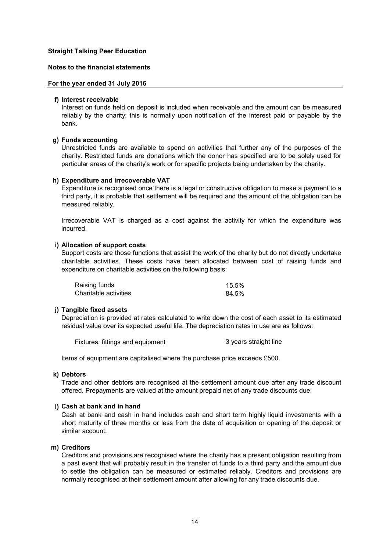#### **Notes to the financial statements**

#### **For the year ended 31 July 2016**

#### **f) Interest receivable**

Interest on funds held on deposit is included when receivable and the amount can be measured reliably by the charity; this is normally upon notification of the interest paid or payable by the bank.

#### **g) Funds accounting**

Unrestricted funds are available to spend on activities that further any of the purposes of the charity. Restricted funds are donations which the donor has specified are to be solely used for particular areas of the charity's work or for specific projects being undertaken by the charity.

#### **h) Expenditure and irrecoverable VAT**

Expenditure is recognised once there is a legal or constructive obligation to make a payment to a third party, it is probable that settlement will be required and the amount of the obligation can be measured reliably.

Irrecoverable VAT is charged as a cost against the activity for which the expenditure was incurred.

#### **i) Allocation of support costs**

Support costs are those functions that assist the work of the charity but do not directly undertake charitable activities. These costs have been allocated between cost of raising funds and expenditure on charitable activities on the following basis:

| Raising funds         | $15.5\%$ |
|-----------------------|----------|
| Charitable activities | 84.5%    |

#### **j) Tangible fixed assets**

Depreciation is provided at rates calculated to write down the cost of each asset to its estimated residual value over its expected useful life. The depreciation rates in use are as follows:

| Fixtures, fittings and equipment | 3 years straight line |
|----------------------------------|-----------------------|
|                                  |                       |

Items of equipment are capitalised where the purchase price exceeds £500.

#### **k) Debtors**

Trade and other debtors are recognised at the settlement amount due after any trade discount offered. Prepayments are valued at the amount prepaid net of any trade discounts due.

#### **l) Cash at bank and in hand**

Cash at bank and cash in hand includes cash and short term highly liquid investments with a short maturity of three months or less from the date of acquisition or opening of the deposit or similar account.

# **m) Creditors**

Creditors and provisions are recognised where the charity has a present obligation resulting from a past event that will probably result in the transfer of funds to a third party and the amount due to settle the obligation can be measured or estimated reliably. Creditors and provisions are normally recognised at their settlement amount after allowing for any trade discounts due.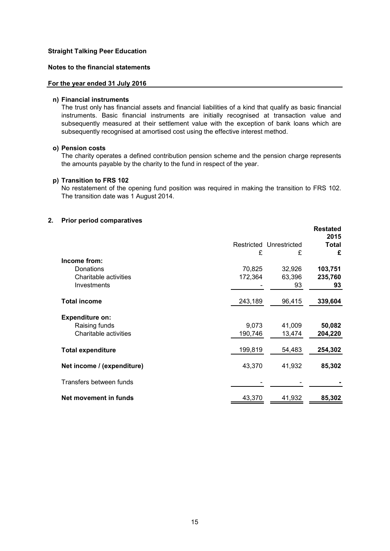# **Notes to the financial statements**

#### **For the year ended 31 July 2016**

#### **n) Financial instruments**

The trust only has financial assets and financial liabilities of a kind that qualify as basic financial instruments. Basic financial instruments are initially recognised at transaction value and subsequently measured at their settlement value with the exception of bank loans which are subsequently recognised at amortised cost using the effective interest method.

#### **o) Pension costs**

The charity operates a defined contribution pension scheme and the pension charge represents the amounts payable by the charity to the fund in respect of the year.

#### **p) Transition to FRS 102**

No restatement of the opening fund position was required in making the transition to FRS 102. The transition date was 1 August 2014.

#### **2. Prior period comparatives**

|                            |         |                         | <b>Restated</b><br>2015 |
|----------------------------|---------|-------------------------|-------------------------|
|                            |         | Restricted Unrestricted | Total                   |
|                            | £       | £                       | £                       |
| Income from:               |         |                         |                         |
| Donations                  | 70,825  | 32,926                  | 103,751                 |
| Charitable activities      | 172,364 | 63,396                  | 235,760                 |
| Investments                |         | 93                      | 93                      |
| <b>Total income</b>        | 243,189 | 96,415                  | 339,604                 |
| <b>Expenditure on:</b>     |         |                         |                         |
| Raising funds              | 9,073   | 41,009                  | 50,082                  |
| Charitable activities      | 190,746 | 13,474                  | 204,220                 |
|                            |         |                         |                         |
| <b>Total expenditure</b>   | 199,819 | 54,483                  | 254,302                 |
| Net income / (expenditure) | 43,370  | 41,932                  | 85,302                  |
| Transfers between funds    |         |                         |                         |
| Net movement in funds      | 43,370  | 41,932                  | 85,302                  |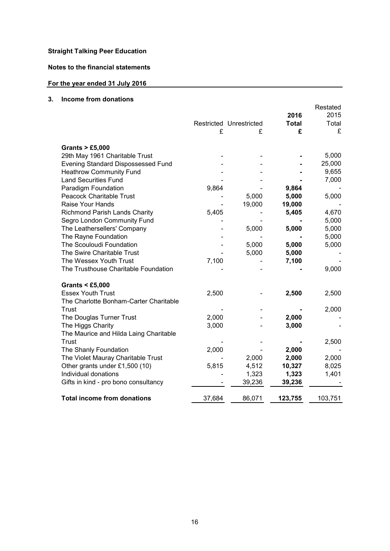**Notes to the financial statements**

# **For the year ended 31 July 2016**

# **3. Income from donations**

|                                        |        |                         |              | Restated |
|----------------------------------------|--------|-------------------------|--------------|----------|
|                                        |        |                         | 2016         | 2015     |
|                                        |        | Restricted Unrestricted | <b>Total</b> | Total    |
|                                        | £      | £                       | £            | £        |
| Grants $> \text{\pounds}5,000$         |        |                         |              |          |
| 29th May 1961 Charitable Trust         |        |                         |              | 5,000    |
| Evening Standard Dispossessed Fund     |        |                         |              | 25,000   |
| <b>Heathrow Community Fund</b>         |        |                         |              | 9,655    |
| <b>Land Securities Fund</b>            |        |                         |              | 7,000    |
| Paradigm Foundation                    | 9,864  |                         | 9,864        |          |
| <b>Peacock Charitable Trust</b>        |        | 5,000                   | 5,000        | 5,000    |
| Raise Your Hands                       |        | 19,000                  | 19,000       |          |
| Richmond Parish Lands Charity          | 5,405  |                         | 5,405        | 4,670    |
| Segro London Community Fund            |        |                         |              | 5,000    |
| The Leathersellers' Company            |        | 5,000                   | 5,000        | 5,000    |
| The Rayne Foundation                   |        |                         |              | 5,000    |
| The Scouloudi Foundation               |        | 5,000                   | 5,000        | 5,000    |
| The Swire Charitable Trust             |        | 5,000                   | 5,000        |          |
| The Wessex Youth Trust                 | 7,100  |                         | 7,100        |          |
| The Trusthouse Charitable Foundation   |        |                         |              | 9,000    |
| Grants $<$ £5,000                      |        |                         |              |          |
| <b>Essex Youth Trust</b>               | 2,500  |                         | 2,500        | 2,500    |
| The Charlotte Bonham-Carter Charitable |        |                         |              |          |
| Trust                                  |        |                         |              | 2,000    |
| The Douglas Turner Trust               | 2,000  |                         | 2,000        |          |
| The Higgs Charity                      | 3,000  |                         | 3,000        |          |
| The Maurice and Hilda Laing Charitable |        |                         |              |          |
| Trust                                  |        |                         |              | 2,500    |
| The Shanly Foundation                  | 2,000  |                         | 2,000        |          |
| The Violet Mauray Charitable Trust     |        | 2,000                   | 2,000        | 2,000    |
| Other grants under £1,500 (10)         | 5,815  | 4,512                   | 10,327       | 8,025    |
| Individual donations                   |        | 1,323                   | 1,323        | 1,401    |
| Gifts in kind - pro bono consultancy   |        | 39,236                  | 39,236       |          |
| <b>Total income from donations</b>     | 37,684 | 86,071                  | 123,755      | 103,751  |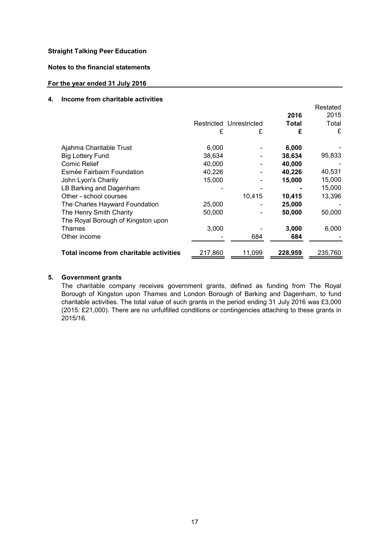# **Notes to the financial statements**

# **For the year ended 31 July 2016**

# **4. Income from charitable activities**

|                                         | £       | Restricted Unrestricted<br>£ | 2016<br>Total<br>£ | Restated<br>2015<br>Total<br>£ |
|-----------------------------------------|---------|------------------------------|--------------------|--------------------------------|
| Ajahma Charitable Trust                 | 6,000   |                              | 6,000              |                                |
| <b>Big Lottery Fund</b>                 | 38,634  |                              | 38,634             | 95,833                         |
| Comic Relief                            | 40,000  |                              | 40,000             |                                |
| Esmée Fairbairn Foundation              | 40,226  |                              | 40,226             | 40,531                         |
| John Lyon's Charity                     | 15,000  |                              | 15,000             | 15,000                         |
| LB Barking and Dagenham                 |         |                              |                    | 15,000                         |
| Other - school courses                  |         | 10,415                       | 10,415             | 13,396                         |
| The Charles Hayward Foundation          | 25,000  |                              | 25,000             |                                |
| The Henry Smith Charity                 | 50.000  |                              | 50,000             | 50,000                         |
| The Royal Borough of Kingston upon      |         |                              |                    |                                |
| Thames                                  | 3,000   |                              | 3,000              | 6,000                          |
| Other income                            |         | 684                          | 684                |                                |
|                                         |         |                              |                    |                                |
| Total income from charitable activities | 217,860 | 11,099                       | 228,959            | 235,760                        |

# **5. Government grants**

The charitable company receives government grants, defined as funding from The Royal Borough of Kingston upon Thames and London Borough of Barking and Dagenham, to fund charitable activities. The total value of such grants in the period ending 31 July 2016 was £3,000 (2015: £21,000). There are no unfulfilled conditions or contingencies attaching to these grants in 2015/16.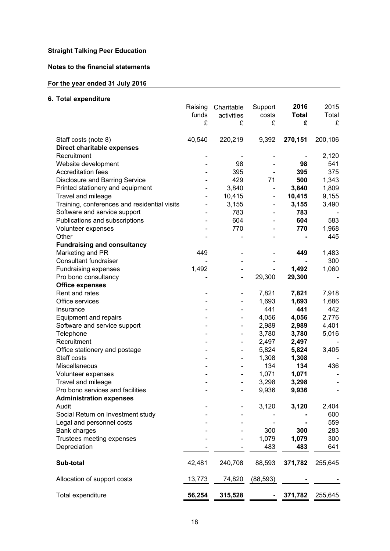# **Notes to the financial statements**

# **For the year ended 31 July 2016**

# **6. Total expenditure**

|                                              | Raising | Charitable                   | Support                  | 2016         | 2015    |
|----------------------------------------------|---------|------------------------------|--------------------------|--------------|---------|
|                                              | funds   | activities                   | costs                    | <b>Total</b> | Total   |
|                                              | £       | £                            | £                        | £            | £       |
| Staff costs (note 8)                         | 40,540  | 220,219                      | 9,392                    | 270,151      | 200,106 |
| <b>Direct charitable expenses</b>            |         |                              |                          |              |         |
| Recruitment                                  |         |                              |                          |              | 2,120   |
| Website development                          |         | 98                           |                          | 98           | 541     |
| <b>Accreditation fees</b>                    |         | 395                          |                          | 395          | 375     |
| <b>Disclosure and Barring Service</b>        |         | 429                          | 71                       | 500          | 1,343   |
| Printed stationery and equipment             |         | 3,840                        | $\overline{\phantom{0}}$ | 3,840        | 1,809   |
| Travel and mileage                           |         | 10,415                       | $\overline{\phantom{0}}$ | 10,415       | 9,155   |
| Training, conferences and residential visits |         | 3,155                        | $\overline{\phantom{0}}$ | 3,155        | 3,490   |
| Software and service support                 |         | 783                          |                          | 783          |         |
| Publications and subscriptions               |         | 604                          |                          | 604          | 583     |
| Volunteer expenses                           |         | 770                          |                          | 770          | 1,968   |
| Other                                        |         |                              |                          |              | 445     |
| <b>Fundraising and consultancy</b>           |         |                              |                          |              |         |
| Marketing and PR                             | 449     |                              |                          | 449          | 1,483   |
| <b>Consultant fundraiser</b>                 |         |                              |                          |              | 300     |
| Fundraising expenses                         | 1,492   |                              |                          | 1,492        | 1,060   |
| Pro bono consultancy                         |         | $\qquad \qquad \blacksquare$ | 29,300                   | 29,300       |         |
| <b>Office expenses</b>                       |         |                              |                          |              |         |
| Rent and rates                               |         |                              | 7,821                    | 7,821        | 7,918   |
| Office services                              |         |                              | 1,693                    | 1,693        | 1,686   |
| Insurance                                    |         |                              | 441                      | 441          | 442     |
| Equipment and repairs                        |         | -                            | 4,056                    | 4,056        | 2,776   |
| Software and service support                 |         | $\overline{\phantom{0}}$     | 2,989                    | 2,989        | 4,401   |
| Telephone                                    |         | $\overline{\phantom{0}}$     | 3,780                    | 3,780        | 5,016   |
| Recruitment                                  |         | $\overline{\phantom{0}}$     | 2,497                    | 2,497        |         |
| Office stationery and postage                |         | $\overline{\phantom{0}}$     | 5,824                    | 5,824        | 3,405   |
| Staff costs                                  |         |                              | 1,308                    | 1,308        |         |
| Miscellaneous                                |         |                              | 134                      | 134          | 436     |
| Volunteer expenses                           |         |                              | 1,071                    | 1,071        |         |
| Travel and mileage                           |         |                              | 3,298                    | 3,298        |         |
| Pro bono services and facilities             |         |                              | 9,936                    | 9,936        |         |
| <b>Administration expenses</b>               |         |                              |                          |              |         |
| Audit                                        |         |                              | 3,120                    | 3,120        | 2,404   |
| Social Return on Investment study            |         |                              |                          |              | 600     |
| Legal and personnel costs                    |         |                              |                          |              | 559     |
| <b>Bank charges</b>                          |         |                              | 300                      | 300          | 283     |
| Trustees meeting expenses                    |         |                              | 1,079                    | 1,079        | 300     |
| Depreciation                                 |         |                              | 483                      | 483          | 641     |
| Sub-total                                    | 42,481  | 240,708                      | 88,593                   | 371,782      | 255,645 |
| Allocation of support costs                  | 13,773  | 74,820                       | (88, 593)                |              |         |
| Total expenditure                            | 56,254  | 315,528                      |                          | 371,782      | 255,645 |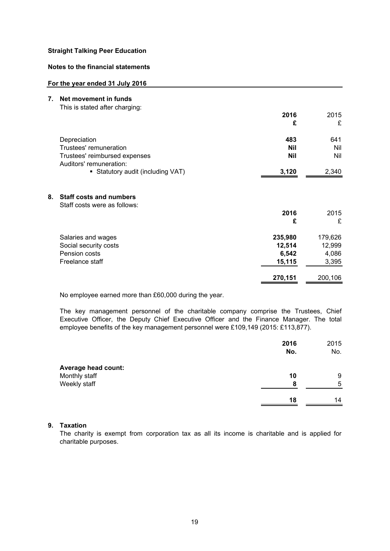# **Notes to the financial statements**

#### **For the year ended 31 July 2016**

- **7. Net movement in funds**
	- This is stated after charging:

|                                                          | 2016<br>£  | 2015<br>£ |
|----------------------------------------------------------|------------|-----------|
| Depreciation                                             | 483        | 641       |
| Trustees' remuneration                                   | <b>Nil</b> | Nil       |
| Trustees' reimbursed expenses<br>Auditors' remuneration: | <b>Nil</b> | Nil       |
| • Statutory audit (including VAT)                        | 3.120      | 2,340     |

# **8. Staff costs and numbers**

| Staff costs were as follows: |         |         |
|------------------------------|---------|---------|
|                              | 2016    | 2015    |
|                              | £       | £       |
| Salaries and wages           | 235,980 | 179,626 |
| Social security costs        | 12,514  | 12,999  |
| Pension costs                | 6,542   | 4,086   |
| Freelance staff              | 15,115  | 3,395   |
|                              | 270,151 | 200,106 |
|                              |         |         |

No employee earned more than £60,000 during the year.

The key management personnel of the charitable company comprise the Trustees, Chief Executive Officer, the Deputy Chief Executive Officer and the Finance Manager. The total employee benefits of the key management personnel were £109,149 (2015: £113,877).

|                            | 2016<br>No. | 2015<br>No. |
|----------------------------|-------------|-------------|
| <b>Average head count:</b> |             |             |
| Monthly staff              | 10          | 9           |
| Weekly staff               | 8           | 5           |
|                            | 18          | 14          |

# **9. Taxation**

The charity is exempt from corporation tax as all its income is charitable and is applied for charitable purposes.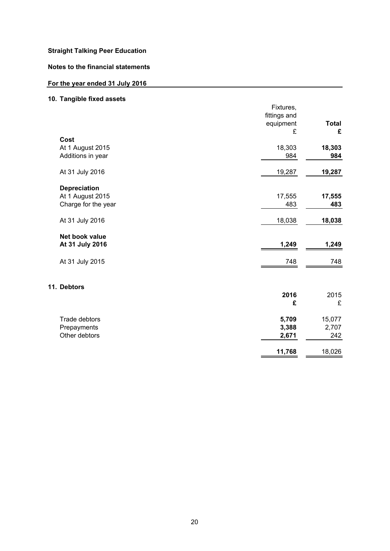# **Notes to the financial statements**

# **For the year ended 31 July 2016**

# **10. Tangible fixed assets**

| Fixtures, |                                                                           |
|-----------|---------------------------------------------------------------------------|
|           |                                                                           |
|           | <b>Total</b>                                                              |
|           | £                                                                         |
|           |                                                                           |
|           | 18,303                                                                    |
| 984       | 984                                                                       |
|           |                                                                           |
| 19,287    | 19,287                                                                    |
|           |                                                                           |
|           | 17,555                                                                    |
| 483       | 483                                                                       |
| 18,038    | 18,038                                                                    |
|           |                                                                           |
| 1,249     | 1,249                                                                     |
| 748       | 748                                                                       |
|           |                                                                           |
|           | 2015                                                                      |
|           | £                                                                         |
|           |                                                                           |
| 5,709     | 15,077                                                                    |
| 3,388     | 2,707                                                                     |
| 2,671     | 242                                                                       |
|           | 18,026                                                                    |
|           | fittings and<br>equipment<br>£<br>18,303<br>17,555<br>2016<br>£<br>11,768 |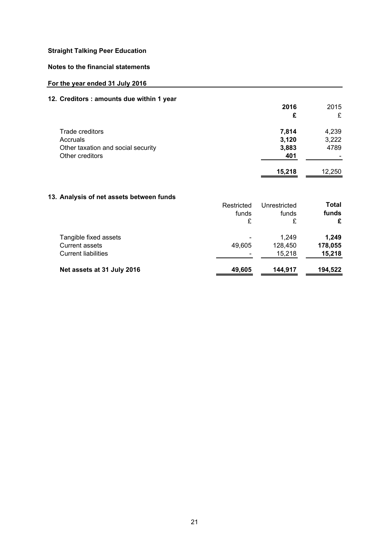# **Notes to the financial statements**

# **For the year ended 31 July 2016**

# **12. Creditors : amounts due within 1 year**

|                                    | 2016   | 2015   |
|------------------------------------|--------|--------|
|                                    | £      | £      |
| Trade creditors                    | 7,814  | 4,239  |
| Accruals                           | 3,120  | 3,222  |
| Other taxation and social security | 3,883  | 4789   |
| Other creditors                    | 401    |        |
|                                    | 15.218 | 12.250 |

# **13. Analysis of net assets between funds**

| יי היומון ווטטאנט אטנייט ווי א פופ | Restricted<br>funds<br>£ | Unrestricted<br>funds<br>£ | Total<br>funds<br>£ |
|------------------------------------|--------------------------|----------------------------|---------------------|
| Tangible fixed assets              |                          | 1,249                      | 1.249               |
| <b>Current assets</b>              | 49.605                   | 128.450                    | 178,055             |
| <b>Current liabilities</b>         |                          | 15,218                     | 15,218              |
| Net assets at 31 July 2016         | 49,605                   | 144,917                    | 194,522             |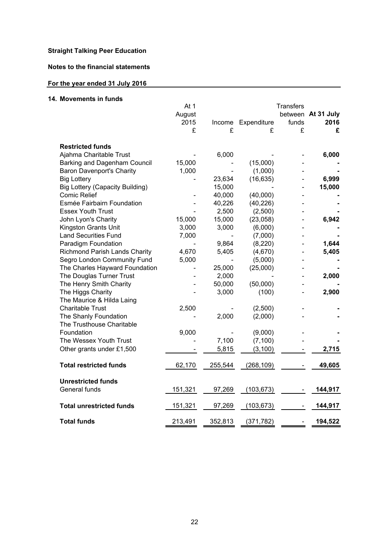# **Notes to the financial statements**

# **For the year ended 31 July 2016**

# **14. Movements in funds**

|                                        | At 1    |         | <b>Transfers</b> |       |                    |
|----------------------------------------|---------|---------|------------------|-------|--------------------|
|                                        | August  |         |                  |       | between At 31 July |
|                                        | 2015    | Income  | Expenditure      | funds | 2016               |
|                                        | £       | £       | £                | £     | £                  |
| <b>Restricted funds</b>                |         |         |                  |       |                    |
| Ajahma Charitable Trust                |         | 6,000   |                  |       | 6,000              |
| Barking and Dagenham Council           | 15,000  |         | (15,000)         |       |                    |
| <b>Baron Davenport's Charity</b>       | 1,000   |         | (1,000)          |       |                    |
| <b>Big Lottery</b>                     |         | 23,634  | (16, 635)        |       | 6,999              |
| <b>Big Lottery (Capacity Building)</b> |         | 15,000  |                  |       | 15,000             |
| <b>Comic Relief</b>                    |         | 40,000  | (40,000)         |       |                    |
| Esmée Fairbairn Foundation             |         | 40,226  | (40, 226)        |       |                    |
| <b>Essex Youth Trust</b>               |         | 2,500   | (2,500)          |       |                    |
| John Lyon's Charity                    | 15,000  | 15,000  | (23,058)         |       | 6,942              |
| Kingston Grants Unit                   | 3,000   | 3,000   | (6,000)          |       |                    |
| <b>Land Securities Fund</b>            | 7,000   |         | (7,000)          |       |                    |
| Paradigm Foundation                    |         | 9,864   | (8, 220)         |       | 1,644              |
| <b>Richmond Parish Lands Charity</b>   | 4,670   | 5,405   | (4,670)          |       | 5,405              |
| Segro London Community Fund            | 5,000   |         | (5,000)          |       |                    |
| The Charles Hayward Foundation         |         | 25,000  | (25,000)         |       |                    |
| The Douglas Turner Trust               |         | 2,000   |                  |       | 2,000              |
| The Henry Smith Charity                |         | 50,000  | (50,000)         |       |                    |
| The Higgs Charity                      |         | 3,000   | (100)            |       | 2,900              |
| The Maurice & Hilda Laing              |         |         |                  |       |                    |
| <b>Charitable Trust</b>                | 2,500   |         | (2,500)          |       |                    |
| The Shanly Foundation                  |         | 2,000   | (2,000)          |       |                    |
| The Trusthouse Charitable              |         |         |                  |       |                    |
| Foundation                             | 9,000   |         | (9,000)          |       |                    |
| The Wessex Youth Trust                 |         | 7,100   | (7, 100)         |       |                    |
| Other grants under £1,500              |         | 5,815   | (3, 100)         |       | 2,715              |
|                                        |         |         |                  |       |                    |
| <b>Total restricted funds</b>          | 62,170  | 255,544 | (268, 109)       |       | 49,605             |
| <b>Unrestricted funds</b>              |         |         |                  |       |                    |
| General funds                          | 151,321 | 97,269  | (103, 673)       |       | 144,917            |
|                                        |         |         |                  |       |                    |
| <b>Total unrestricted funds</b>        | 151,321 | 97,269  | (103, 673)       |       | 144,917            |
| <b>Total funds</b>                     | 213,491 | 352,813 | (371, 782)       |       | 194,522            |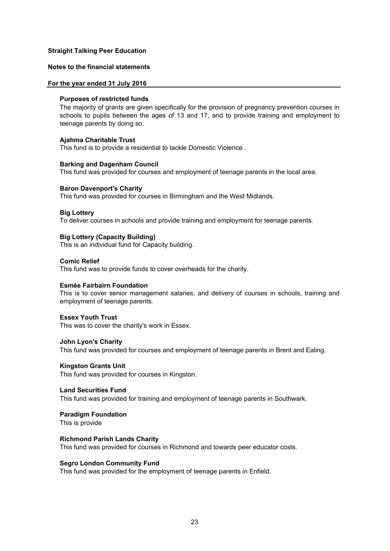# **Notes to the financial statements**

#### **For the year ended 31 July 2016**

#### **Purposes of restricted funds**

The majority of grants are given specifically for the provision of pregnancy prevention courses in schools to pupils between the ages of 13 and 17, and to provide training and employment to teenage parents by doing so.

#### **Ajahma Charitable Trust**

This fund is to provide a residential to tackle Domestic Violence .

#### **Barking and Dagenham Council**

This fund was provided for courses and employment of teenage parents in the local area.

#### **Baron Davenport's Charity**

This fund was provided for courses in Birmingham and the West Midlands.

#### **Big Lottery**

To deliver courses in schools and provide training and employment for teenage parents.

#### **Big Lottery (Capacity Building)**

This is an individual fund for Capacity building.

#### **Comic Relief**

This fund was to provide funds to cover overheads for the charity.

#### **Esmée Fairbairn Foundation**

This is to cover senior management salaries, and delivery of courses in schools, training and employment of teenage parents.

#### **Essex Youth Trust**

This was to cover the charity's work in Essex.

#### **John Lyon's Charity**

This fund was provided for courses and employment of teenage parents in Brent and Ealing.

#### **Kingston Grants Unit**

This fund was provided for courses in Kingston.

#### **Land Securities Fund**

This fund was provided for training and employment of teenage parents in Southwark.

#### **Paradigm Foundation**

This is provide

#### **Richmond Parish Lands Charity**

This fund was provided for courses in Richmond and towards peer educator costs.

#### **Segro London Community Fund**

This fund was provided for the employment of teenage parents in Enfield.